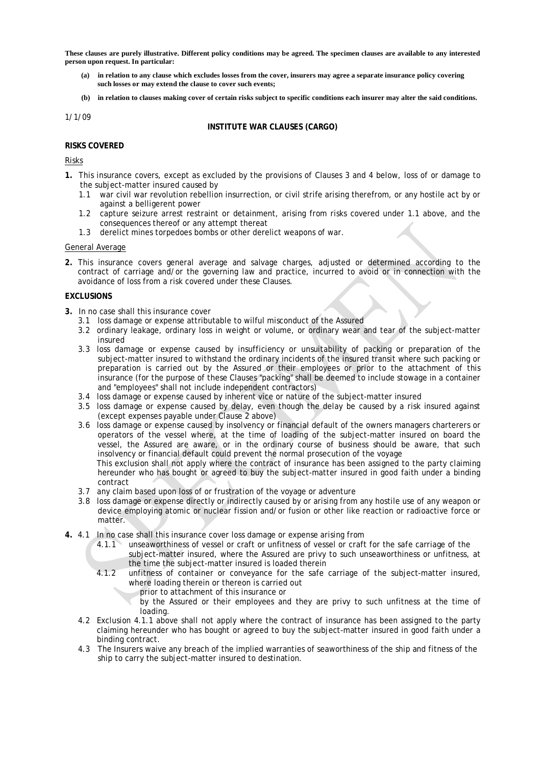These clauses are purely illustrative. Different policy conditions may be agreed. The specimen clauses are available to any interested **person upon request. In particular:** 

- (a) in relation to any clause which excludes losses from the cover, insurers may agree a separate insurance policy covering **such losses or may extend the clause to cover such events;**
- (b) in relation to clauses making cover of certain risks subject to specific conditions each insurer may alter the said conditions.

1/1/09

## **INSTITUTE WAR CLAUSES (CARGO)**

### **RISKS COVERED**

Risks

- **1.** This insurance covers, except as excluded by the provisions of Clauses 3 and 4 below, loss of or damage to the subject-matter insured caused by
	- 1.1 war civil war revolution rebellion insurrection, or civil strife arising therefrom, or any hostile act by or against a belligerent power
	- 1.2 capture seizure arrest restraint or detainment, arising from risks covered under 1.1 above, and the consequences thereof or any attempt thereat
	- 1.3 derelict mines torpedoes bombs or other derelict weapons of war.

#### General Average

**2.** This insurance covers general average and salvage charges, adjusted or determined according to the contract of carriage and/or the governing law and practice, incurred to avoid or in connection with the avoidance of loss from a risk covered under these Clauses.

### **EXCLUSIONS**

- **3.** In no case shall this insurance cover
	- 3.1 loss damage or expense attributable to wilful misconduct of the Assured
	- 3.2 ordinary leakage, ordinary loss in weight or volume, or ordinary wear and tear of the subject-matter insured
	- 3.3 loss damage or expense caused by insufficiency or unsuitability of packing or preparation of the subject-matter insured to withstand the ordinary incidents of the insured transit where such packing or preparation is carried out by the Assured or their employees or prior to the attachment of this insurance (for the purpose of these Clauses "packing" shall be deemed to include stowage in a container and "employees" shall not include independent contractors)
	- 3.4 loss damage or expense caused by inherent vice or nature of the subject-matter insured
	- 3.5 loss damage or expense caused by delay, even though the delay be caused by a risk insured against (except expenses payable under Clause 2 above)
	- 3.6 loss damage or expense caused by insolvency or financial default of the owners managers charterers or operators of the vessel where, at the time of loading of the subject-matter insured on board the vessel, the Assured are aware, or in the ordinary course of business should be aware, that such insolvency or financial default could prevent the normal prosecution of the voyage This exclusion shall not apply where the contract of insurance has been assigned to the party claiming

hereunder who has bought or agreed to buy the subject-matter insured in good faith under a binding contract

- 3.7 any claim based upon loss of or frustration of the voyage or adventure
- 3.8 loss damage or expense directly or indirectly caused by or arising from any hostile use of any weapon or device employing atomic or nuclear fission and/or fusion or other like reaction or radioactive force or matter.
- **4.** 4.1 In no case shall this insurance cover loss damage or expense arising from
	- 4.1.1 unseaworthiness of vessel or craft or unfitness of vessel or craft for the safe carriage of the subject-matter insured, where the Assured are privy to such unseaworthiness or unfitness, at the time the subject-matter insured is loaded therein
	- 4.1.2 unfitness of container or conveyance for the safe carriage of the subject-matter insured, where loading therein or thereon is carried out
		- prior to attachment of this insurance or
		- by the Assured or their employees and they are privy to such unfitness at the time of loading.
	- 4.2 Exclusion 4.1.1 above shall not apply where the contract of insurance has been assigned to the party claiming hereunder who has bought or agreed to buy the subject-matter insured in good faith under a binding contract.
	- 4.3 The Insurers waive any breach of the implied warranties of seaworthiness of the ship and fitness of the ship to carry the subject-matter insured to destination.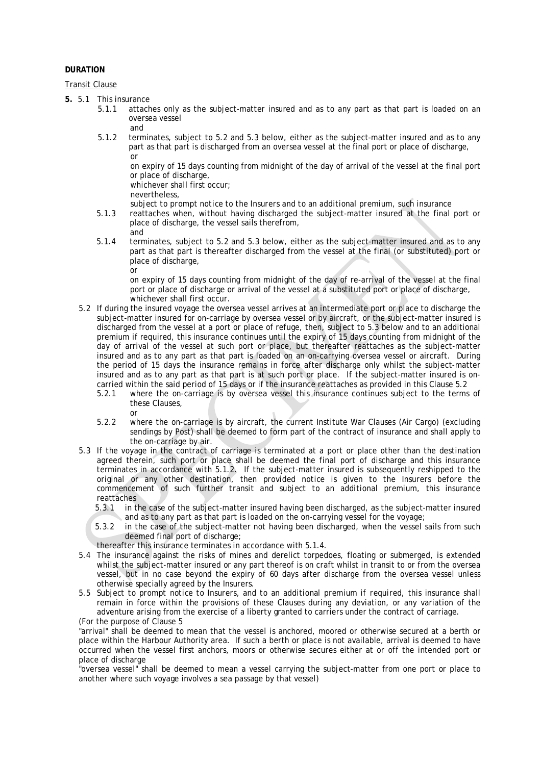# **DURATION**

## Transit Clause

- **5.** 5.1 This insurance
	- 5.1.1 attaches only as the subject-matter insured and as to any part as that part is loaded on an oversea vessel and
	- 5.1.2 terminates, subject to 5.2 and 5.3 below, either as the subject-matter insured and as to any part as that part is discharged from an oversea vessel at the final port or place of discharge, or

on expiry of 15 days counting from midnight of the day of arrival of the vessel at the final port or place of discharge,

whichever shall first occur;

nevertheless,

*subject to prompt notice to the Insurers and to an additional premium,* such insurance

- 5.1.3 reattaches when, without having discharged the subject-matter insured at the final port or place of discharge, the vessel sails therefrom,
	- and
- 5.1.4 terminates, subject to 5.2 and 5.3 below, either as the subject-matter insured and as to any part as that part is thereafter discharged from the vessel at the final (or substituted) port or place of discharge, or

on expiry of 15 days counting from midnight of the day of re-arrival of the vessel at the final port or place of discharge or arrival of the vessel at a substituted port or place of discharge, whichever shall first occur.

- 5.2 If during the insured voyage the oversea vessel arrives at an intermediate port or place to discharge the subject-matter insured for on-carriage by oversea vessel or by aircraft, or the subject-matter insured is discharged from the vessel at a port or place of refuge, then, subject to 5.3 below and to an additional premium if required, this insurance continues until the expiry of 15 days counting from midnight of the day of arrival of the vessel at such port or place, but thereafter reattaches as the subject-matter insured and as to any part as that part is loaded on an on-carrying oversea vessel or aircraft. During the period of 15 days the insurance remains in force after discharge only whilst the subject-matter insured and as to any part as that part is at such port or place. If the subject-matter insured is oncarried within the said period of 15 days or if the insurance reattaches as provided in this Clause 5.2
	- 5.2.1 where the on-carriage is by oversea vessel this insurance continues subject to the terms of these Clauses,
	- or 5.2.2 where the on-carriage is by aircraft, the current Institute War Clauses (Air Cargo) (excluding sendings by Post) shall be deemed to form part of the contract of insurance and shall apply to the on-carriage by air.
- 5.3 If the voyage in the contract of carriage is terminated at a port or place other than the destination agreed therein, such port or place shall be deemed the final port of discharge and this insurance terminates in accordance with 5.1.2. If the subject-matter insured is subsequently reshipped to the original or any other destination, then *provided notice is given to the Insurers before the commencement of such further transit and subject to an additional premium,* this insurance reattaches

5.3.1 in the case of the subject-matter insured having been discharged, as the subject-matter insured and as to any part as that part is loaded on the on-carrying vessel for the voyage;

- 5.3.2 in the case of the subject-matter not having been discharged, when the vessel sails from such deemed final port of discharge:
- thereafter this insurance terminates in accordance with 5.1.4.
- 5.4 The insurance against the risks of mines and derelict torpedoes, floating or submerged, is extended whilst the subject-matter insured or any part thereof is on craft whilst in transit to or from the oversea vessel, but in no case beyond the expiry of 60 days after discharge from the oversea vessel unless otherwise specially agreed by the Insurers.
- 5.5 *Subject to prompt notice to Insurers, and to an additional premium if required,* this insurance shall remain in force within the provisions of these Clauses during any deviation, or any variation of the adventure arising from the exercise of a liberty granted to carriers under the contract of carriage. (For the purpose of Clause 5

"arrival" shall be deemed to mean that the vessel is anchored, moored or otherwise secured at a berth or place within the Harbour Authority area. If such a berth or place is not available, arrival is deemed to have occurred when the vessel first anchors, moors or otherwise secures either at or off the intended port or place of discharge

"oversea vessel" shall be deemed to mean a vessel carrying the subject-matter from one port or place to another where such voyage involves a sea passage by that vessel)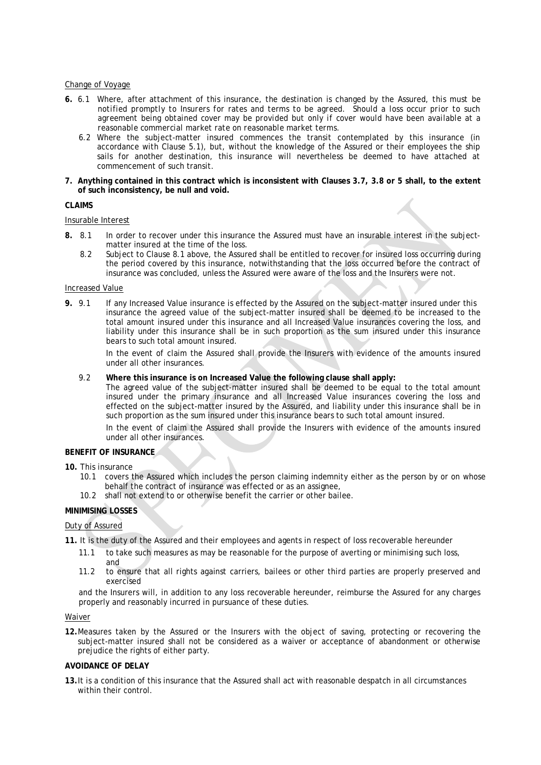## Change of Voyage

- **6.** 6.1 Where, after attachment of this insurance, the destination is changed by the Assured, *this must be notified promptly to Insurers for rates and terms to be agreed. Should a loss occur prior to such agreement being obtained cover may be provided but only if cover would have been available at a reasonable commercial market rate on reasonable market terms.* 
	- 6.2 Where the subject-matter insured commences the transit contemplated by this insurance (in accordance with Clause 5.1), but, without the knowledge of the Assured or their employees the ship sails for another destination, this insurance will nevertheless be deemed to have attached at commencement of such transit.
- 7. Anything contained in this contract which is inconsistent with Clauses 3.7, 3.8 or 5 shall, to the extent **of such inconsistency, be null and void.**

### **CLAIMS**

#### Insurable Interest

- **8.** 8.1 In order to recover under this insurance the Assured must have an insurable interest in the subjectmatter insured at the time of the loss.
	- 8.2 Subject to Clause 8.1 above, the Assured shall be entitled to recover for insured loss occurring during the period covered by this insurance, notwithstanding that the loss occurred before the contract of insurance was concluded, unless the Assured were aware of the loss and the Insurers were not.

#### Increased Value

**9.** 9.1 If any Increased Value insurance is effected by the Assured on the subject-matter insured under this insurance the agreed value of the subject-matter insured shall be deemed to be increased to the total amount insured under this insurance and all Increased Value insurances covering the loss, and liability under this insurance shall be in such proportion as the sum insured under this insurance bears to such total amount insured.

In the event of claim the Assured shall provide the Insurers with evidence of the amounts insured under all other insurances.

## 9.2 **Where this insurance is on Increased Value the following clause shall apply:**

The agreed value of the subject-matter insured shall be deemed to be equal to the total amount insured under the primary insurance and all Increased Value insurances covering the loss and effected on the subject-matter insured by the Assured, and liability under this insurance shall be in such proportion as the sum insured under this insurance bears to such total amount insured.

In the event of claim the Assured shall provide the Insurers with evidence of the amounts insured under all other insurances.

## **BENEFIT OF INSURANCE**

- **10.** This insurance
	- 10.1 covers the Assured which includes the person claiming indemnity either as the person by or on whose behalf the contract of insurance was effected or as an assignee,
	- 10.2 shall not extend to or otherwise benefit the carrier or other bailee.

# **MINIMISING LOSSES**

# Duty of Assured

- **11.** It is the duty of the Assured and their employees and agents in respect of loss recoverable hereunder
	- 11.1 to take such measures as may be reasonable for the purpose of averting or minimising such loss, and
	- 11.2 to ensure that all rights against carriers, bailees or other third parties are properly preserved and exercised

and the Insurers will, in addition to any loss recoverable hereunder, reimburse the Assured for any charges properly and reasonably incurred in pursuance of these duties.

#### Waiver

**12.**Measures taken by the Assured or the Insurers with the object of saving, protecting or recovering the subject-matter insured shall not be considered as a waiver or acceptance of abandonment or otherwise prejudice the rights of either party.

#### **AVOIDANCE OF DELAY**

**13.**It is a condition of this insurance that the Assured shall act with reasonable despatch in all circumstances within their control.